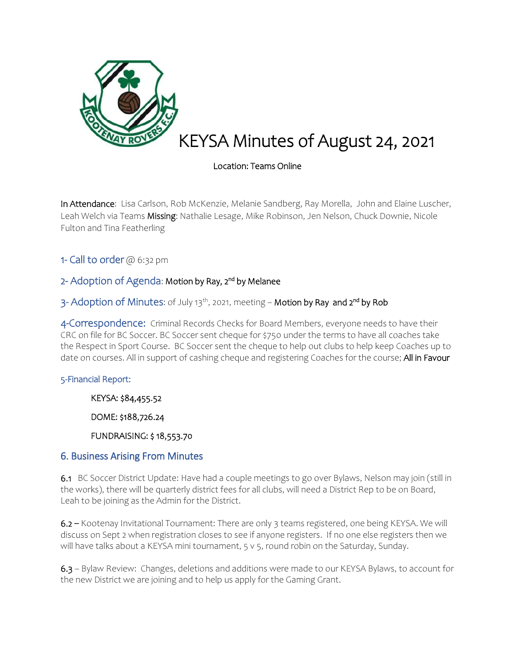

# KEYSA Minutes of August 24, 2021

### Location: Teams Online

In Attendance: Lisa Carlson, Rob McKenzie, Melanie Sandberg, Ray Morella, John and Elaine Luscher, Leah Welch via Teams Missing: Nathalie Lesage, Mike Robinson, Jen Nelson, Chuck Downie, Nicole Fulton and Tina Featherling

1- Call to order  $@$  6:32 pm

# 2- Adoption of Agenda: Motion by Ray, 2<sup>nd</sup> by Melanee

3- Adoption of Minutes: of July 13<sup>th</sup>, 2021, meeting – Motion by Ray and 2<sup>nd</sup> by Rob

4-Correspondence: Criminal Records Checks for Board Members, everyone needs to have their CRC on file for BC Soccer. BC Soccer sent cheque for \$750 under the terms to have all coaches take the Respect in Sport Course. BC Soccer sent the cheque to help out clubs to help keep Coaches up to date on courses. All in support of cashing cheque and registering Coaches for the course; All in Favour

#### 5-Financial Report:

KEYSA: \$84,455.52

DOME: \$188,726.24

FUNDRAISING: \$ 18,553.70

# 6. Business Arising From Minutes

6.1BC Soccer District Update: Have had a couple meetings to go over Bylaws, Nelson may join (still in the works), there will be quarterly district fees for all clubs, will need a District Rep to be on Board, Leah to be joining as the Admin for the District.

6.2 – Kootenay Invitational Tournament: There are only 3 teams registered, one being KEYSA. We will discuss on Sept 2 when registration closes to see if anyone registers. If no one else registers then we will have talks about a KEYSA mini tournament, 5 v 5, round robin on the Saturday, Sunday.

6.3 – Bylaw Review: Changes, deletions and additions were made to our KEYSA Bylaws, to account for the new District we are joining and to help us apply for the Gaming Grant.